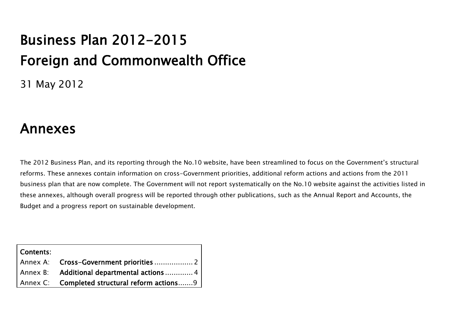# Business Plan 2012-2015 Foreign and Commonwealth Office

31 May 2012

# Annexes

The 2012 Business Plan, and its reporting through the No.10 website, have been streamlined to focus on the Government"s structural reforms. These annexes contain information on cross-Government priorities, additional reform actions and actions from the 2011 business plan that are now complete. The Government will not report systematically on the No.10 website against the activities listed in these annexes, although overall progress will be reported through other publications, such as the Annual Report and Accounts, the Budget and a progress report on sustainable development.

| Contents: |                                               |
|-----------|-----------------------------------------------|
|           |                                               |
|           | Annex B: Additional departmental actions  4   |
|           | Annex C: Completed structural reform actions9 |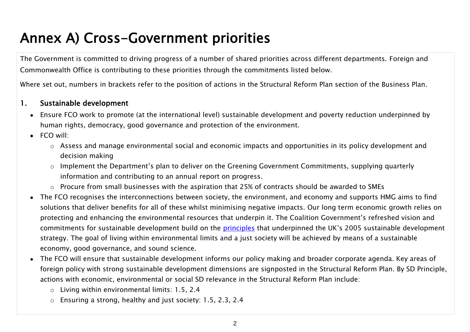# <span id="page-1-0"></span>Annex A) Cross-Government priorities

The Government is committed to driving progress of a number of shared priorities across different departments. Foreign and Commonwealth Office is contributing to these priorities through the commitments listed below.

Where set out, numbers in brackets refer to the position of actions in the Structural Reform Plan section of the Business Plan.

# 1. Sustainable development

- Ensure FCO work to promote (at the international level) sustainable development and poverty reduction underpinned by human rights, democracy, good governance and protection of the environment.
- FCO will:
	- o Assess and manage environmental social and economic impacts and opportunities in its policy development and decision making
	- $\circ$  Implement the Department's plan to deliver on the Greening Government Commitments, supplying quarterly information and contributing to an annual report on progress.
	- o Procure from small businesses with the aspiration that 25% of contracts should be awarded to SMEs
- The FCO recognises the interconnections between society, the environment, and economy and supports HMG aims to find solutions that deliver benefits for all of these whilst minimising negative impacts. Our long term economic growth relies on protecting and enhancing the environmental resources that underpin it. The Coalition Government"s refreshed vision and commitments for sustainable development build on the [principles](http://sd.defra.gov.uk/what/principles/) that underpinned the UK's 2005 sustainable development strategy. The goal of living within environmental limits and a just society will be achieved by means of a sustainable economy, good governance, and sound science.
- The FCO will ensure that sustainable development informs our policy making and broader corporate agenda. Key areas of foreign policy with strong sustainable development dimensions are signposted in the Structural Reform Plan. By SD Principle, actions with economic, environmental or social SD relevance in the Structural Reform Plan include:
	- o Living within environmental limits: 1.5, 2.4
	- o Ensuring a strong, healthy and just society: 1.5, 2.3, 2.4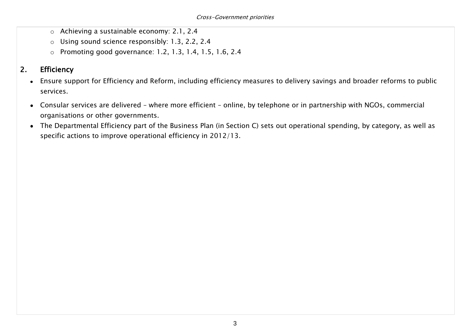- o Achieving a sustainable economy: 2.1, 2.4
- o Using sound science responsibly: 1.3, 2.2, 2.4
- o Promoting good governance: 1.2, 1.3, 1.4, 1.5, 1.6, 2.4

# 2. Efficiency

- Ensure support for Efficiency and Reform, including efficiency measures to delivery savings and broader reforms to public services.
- Consular services are delivered where more efficient online, by telephone or in partnership with NGOs, commercial organisations or other governments.
- The Departmental Efficiency part of the Business Plan (in Section C) sets out operational spending, by category, as well as specific actions to improve operational efficiency in 2012/13.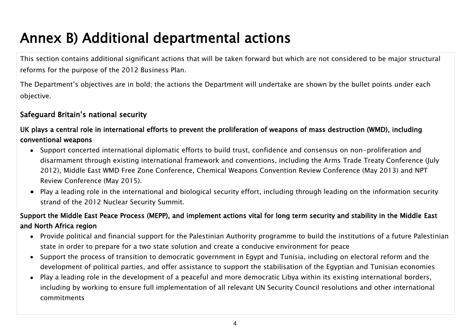# <span id="page-3-0"></span>Annex B) Additional departmental actions

This section contains additional significant actions that will be taken forward but which are not considered to be major structural reforms for the purpose of the 2012 Business Plan.

The Department"s objectives are in bold; the actions the Department will undertake are shown by the bullet points under each objective.

# Safeguard Britain"s national security

# UK plays a central role in international efforts to prevent the proliferation of weapons of mass destruction (WMD), including conventional weapons

- Support concerted international diplomatic efforts to build trust, confidence and consensus on non-proliferation and disarmament through existing international framework and conventions, including the Arms Trade Treaty Conference (July 2012), Middle East WMD Free Zone Conference, Chemical Weapons Convention Review Conference (May 2013) and NPT Review Conference (May 2015).
- Play a leading role in the international and biological security effort, including through leading on the information security strand of the 2012 Nuclear Security Summit.

# Support the Middle East Peace Process (MEPP), and implement actions vital for long term security and stability in the Middle East and North Africa region

- Provide political and financial support for the Palestinian Authority programme to build the institutions of a future Palestinian state in order to prepare for a two state solution and create a conducive environment for peace
- Support the process of transition to democratic government in Egypt and Tunisia, including on electoral reform and the development of political parties, and offer assistance to support the stabilisation of the Egyptian and Tunisian economies
- Play a leading role in the development of a peaceful and more democratic Libya within its existing international borders, including by working to ensure full implementation of all relevant UN Security Council resolutions and other international commitments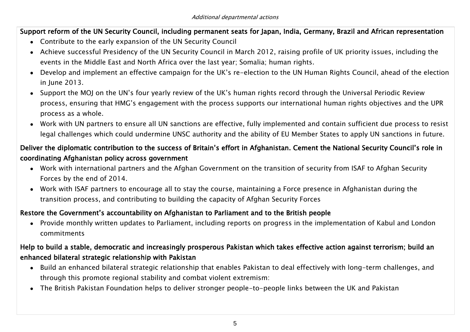#### Support reform of the UN Security Council, including permanent seats for Japan, India, Germany, Brazil and African representation

- Contribute to the early expansion of the UN Security Council
- Achieve successful Presidency of the UN Security Council in March 2012, raising profile of UK priority issues, including the events in the Middle East and North Africa over the last year; Somalia; human rights.
- Develop and implement an effective campaign for the UK"s re-election to the UN Human Rights Council, ahead of the election in June 2013.
- Support the MOJ on the UN"s four yearly review of the UK"s human rights record through the Universal Periodic Review process, ensuring that HMG"s engagement with the process supports our international human rights objectives and the UPR process as a whole.
- Work with UN partners to ensure all UN sanctions are effective, fully implemented and contain sufficient due process to resist legal challenges which could undermine UNSC authority and the ability of EU Member States to apply UN sanctions in future.

# Deliver the diplomatic contribution to the success of Britain"s effort in Afghanistan. Cement the National Security Council"s role in coordinating Afghanistan policy across government

- Work with international partners and the Afghan Government on the transition of security from ISAF to Afghan Security Forces by the end of 2014.
- Work with ISAF partners to encourage all to stay the course, maintaining a Force presence in Afghanistan during the transition process, and contributing to building the capacity of Afghan Security Forces

#### Restore the Government"s accountability on Afghanistan to Parliament and to the British people

Provide monthly written updates to Parliament, including reports on progress in the implementation of Kabul and London commitments

# Help to build a stable, democratic and increasingly prosperous Pakistan which takes effective action against terrorism; build an enhanced bilateral strategic relationship with Pakistan

- Build an enhanced bilateral strategic relationship that enables Pakistan to deal effectively with long-term challenges, and through this promote regional stability and combat violent extremism:
- The British Pakistan Foundation helps to deliver stronger people-to-people links between the UK and Pakistan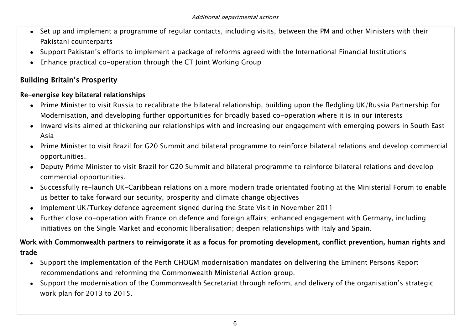- Set up and implement a programme of regular contacts, including visits, between the PM and other Ministers with their Pakistani counterparts
- Support Pakistan"s efforts to implement a package of reforms agreed with the International Financial Institutions
- Enhance practical co-operation through the CT Joint Working Group

# Building Britain"s Prosperity

#### Re-energise key bilateral relationships

- Prime Minister to visit Russia to recalibrate the bilateral relationship, building upon the fledgling UK/Russia Partnership for Modernisation, and developing further opportunities for broadly based co-operation where it is in our interests
- Inward visits aimed at thickening our relationships with and increasing our engagement with emerging powers in South East Asia
- Prime Minister to visit Brazil for G20 Summit and bilateral programme to reinforce bilateral relations and develop commercial opportunities.
- Deputy Prime Minister to visit Brazil for G20 Summit and bilateral programme to reinforce bilateral relations and develop commercial opportunities.
- Successfully re-launch UK-Caribbean relations on a more modern trade orientated footing at the Ministerial Forum to enable us better to take forward our security, prosperity and climate change objectives
- Implement UK/Turkey defence agreement signed during the State Visit in November 2011
- Further close co-operation with France on defence and foreign affairs; enhanced engagement with Germany, including initiatives on the Single Market and economic liberalisation; deepen relationships with Italy and Spain.

# Work with Commonwealth partners to reinvigorate it as a focus for promoting development, conflict prevention, human rights and trade

- Support the implementation of the Perth CHOGM modernisation mandates on delivering the Eminent Persons Report recommendations and reforming the Commonwealth Ministerial Action group.
- Support the modernisation of the Commonwealth Secretariat through reform, and delivery of the organisation"s strategic work plan for 2013 to 2015.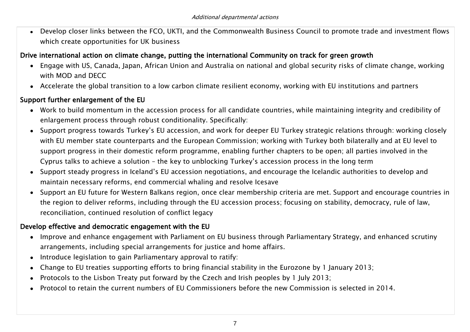Develop closer links between the FCO, UKTI, and the Commonwealth Business Council to promote trade and investment flows which create opportunities for UK business

#### Drive international action on climate change, putting the international Community on track for green growth

- Engage with US, Canada, Japan, African Union and Australia on national and global security risks of climate change, working with MOD and DECC
- Accelerate the global transition to a low carbon climate resilient economy, working with EU institutions and partners

#### Support further enlargement of the EU

- Work to build momentum in the accession process for all candidate countries, while maintaining integrity and credibility of enlargement process through robust conditionality. Specifically:
- Support progress towards Turkey"s EU accession, and work for deeper EU Turkey strategic relations through: working closely with EU member state counterparts and the European Commission; working with Turkey both bilaterally and at EU level to support progress in their domestic reform programme, enabling further chapters to be open; all parties involved in the Cyprus talks to achieve a solution – the key to unblocking Turkey"s accession process in the long term
- Support steady progress in Iceland"s EU accession negotiations, and encourage the Icelandic authorities to develop and maintain necessary reforms, end commercial whaling and resolve Icesave
- Support an EU future for Western Balkans region, once clear membership criteria are met. Support and encourage countries in the region to deliver reforms, including through the EU accession process; focusing on stability, democracy, rule of law, reconciliation, continued resolution of conflict legacy

#### Develop effective and democratic engagement with the EU

- Improve and enhance engagement with Parliament on EU business through Parliamentary Strategy, and enhanced scrutiny arrangements, including special arrangements for justice and home affairs.
- Introduce legislation to gain Parliamentary approval to ratify:
- Change to EU treaties supporting efforts to bring financial stability in the Eurozone by 1 January 2013;
- Protocols to the Lisbon Treaty put forward by the Czech and Irish peoples by 1 July 2013;
- Protocol to retain the current numbers of EU Commissioners before the new Commission is selected in 2014.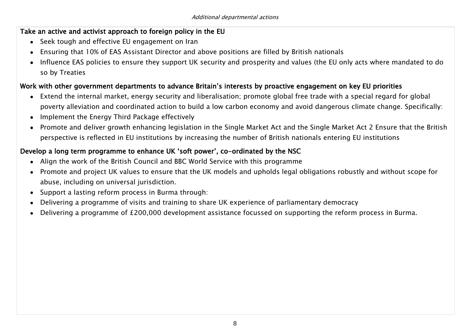#### Take an active and activist approach to foreign policy in the EU

- Seek tough and effective EU engagement on Iran
- Ensuring that 10% of EAS Assistant Director and above positions are filled by British nationals
- Influence EAS policies to ensure they support UK security and prosperity and values (the EU only acts where mandated to do so by Treaties

#### Work with other government departments to advance Britain"s interests by proactive engagement on key EU priorities

- Extend the internal market, energy security and liberalisation; promote global free trade with a special regard for global poverty alleviation and coordinated action to build a low carbon economy and avoid dangerous climate change. Specifically:
- Implement the Energy Third Package effectively
- Promote and deliver growth enhancing legislation in the Single Market Act and the Single Market Act 2 Ensure that the British perspective is reflected in EU institutions by increasing the number of British nationals entering EU institutions

# Develop a long term programme to enhance UK 'soft power', co-ordinated by the NSC

- Align the work of the British Council and BBC World Service with this programme
- Promote and project UK values to ensure that the UK models and upholds legal obligations robustly and without scope for abuse, including on universal jurisdiction.
- Support a lasting reform process in Burma through:
- Delivering a programme of visits and training to share UK experience of parliamentary democracy
- Delivering a programme of £200,000 development assistance focussed on supporting the reform process in Burma.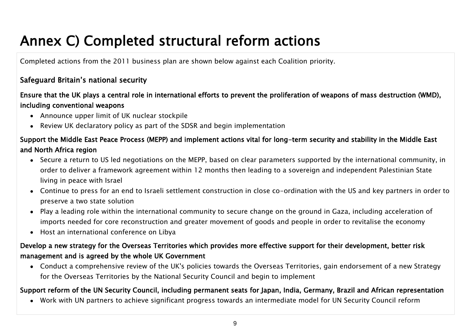# <span id="page-8-0"></span>Annex C) Completed structural reform actions

Completed actions from the 2011 business plan are shown below against each Coalition priority.

# Safeguard Britain"s national security

# Ensure that the UK plays a central role in international efforts to prevent the proliferation of weapons of mass destruction (WMD), including conventional weapons

- Announce upper limit of UK nuclear stockpile
- Review UK declaratory policy as part of the SDSR and begin implementation

# Support the Middle East Peace Process (MEPP) and implement actions vital for long-term security and stability in the Middle East and North Africa region

- Secure a return to US led negotiations on the MEPP, based on clear parameters supported by the international community, in order to deliver a framework agreement within 12 months then leading to a sovereign and independent Palestinian State living in peace with Israel
- Continue to press for an end to Israeli settlement construction in close co-ordination with the US and key partners in order to preserve a two state solution
- Play a leading role within the international community to secure change on the ground in Gaza, including acceleration of imports needed for core reconstruction and greater movement of goods and people in order to revitalise the economy
- Host an international conference on Libya

# Develop a new strategy for the Overseas Territories which provides more effective support for their development, better risk management and is agreed by the whole UK Government

Conduct a comprehensive review of the UK's policies towards the Overseas Territories, gain endorsement of a new Strategy for the Overseas Territories by the National Security Council and begin to implement

#### Support reform of the UN Security Council, including permanent seats for Japan, India, Germany, Brazil and African representation

Work with UN partners to achieve significant progress towards an intermediate model for UN Security Council reform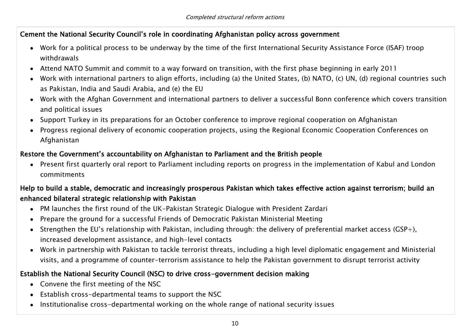#### Cement the National Security Council"s role in coordinating Afghanistan policy across government

- Work for a political process to be underway by the time of the first International Security Assistance Force (ISAF) troop withdrawals
- Attend NATO Summit and commit to a way forward on transition, with the first phase beginning in early 2011
- Work with international partners to align efforts, including (a) the United States, (b) NATO, (c) UN, (d) regional countries such as Pakistan, India and Saudi Arabia, and (e) the EU
- Work with the Afghan Government and international partners to deliver a successful Bonn conference which covers transition and political issues
- Support Turkey in its preparations for an October conference to improve regional cooperation on Afghanistan
- Progress regional delivery of economic cooperation projects, using the Regional Economic Cooperation Conferences on Afghanistan

#### Restore the Government"s accountability on Afghanistan to Parliament and the British people

Present first quarterly oral report to Parliament including reports on progress in the implementation of Kabul and London commitments

# Help to build a stable, democratic and increasingly prosperous Pakistan which takes effective action against terrorism; build an enhanced bilateral strategic relationship with Pakistan

- PM launches the first round of the UK-Pakistan Strategic Dialogue with President Zardari
- Prepare the ground for a successful Friends of Democratic Pakistan Ministerial Meeting
- Strengthen the EU"s relationship with Pakistan, including through: the delivery of preferential market access (GSP+), increased development assistance, and high-level contacts
- Work in partnership with Pakistan to tackle terrorist threats, including a high level diplomatic engagement and Ministerial visits, and a programme of counter-terrorism assistance to help the Pakistan government to disrupt terrorist activity

# Establish the National Security Council (NSC) to drive cross-government decision making

- Convene the first meeting of the NSC
- Establish cross-departmental teams to support the NSC
- Institutionalise cross-departmental working on the whole range of national security issues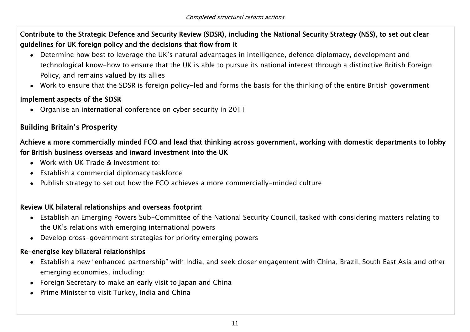Contribute to the Strategic Defence and Security Review (SDSR), including the National Security Strategy (NSS), to set out clear guidelines for UK foreign policy and the decisions that flow from it

- Determine how best to leverage the UK"s natural advantages in intelligence, defence diplomacy, development and technological know-how to ensure that the UK is able to pursue its national interest through a distinctive British Foreign Policy, and remains valued by its allies
- Work to ensure that the SDSR is foreign policy-led and forms the basis for the thinking of the entire British government

#### Implement aspects of the SDSR

Organise an international conference on cyber security in 2011

# Building Britain"s Prosperity

# Achieve a more commercially minded FCO and lead that thinking across government, working with domestic departments to lobby for British business overseas and inward investment into the UK

- Work with UK Trade & Investment to:
- Establish a commercial diplomacy taskforce
- Publish strategy to set out how the FCO achieves a more commercially-minded culture

#### Review UK bilateral relationships and overseas footprint

- Establish an Emerging Powers Sub-Committee of the National Security Council, tasked with considering matters relating to the UK"s relations with emerging international powers
- Develop cross-government strategies for priority emerging powers

#### Re-energise key bilateral relationships

- Establish a new "enhanced partnership" with India, and seek closer engagement with China, Brazil, South East Asia and other emerging economies, including:
- Foreign Secretary to make an early visit to Japan and China
- Prime Minister to visit Turkey, India and China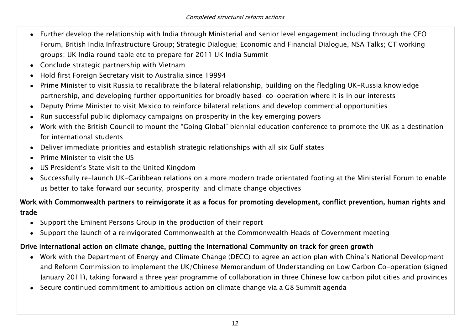- Further develop the relationship with India through Ministerial and senior level engagement including through the CEO Forum, British India Infrastructure Group; Strategic Dialogue; Economic and Financial Dialogue, NSA Talks; CT working groups; UK India round table etc to prepare for 2011 UK India Summit
- Conclude strategic partnership with Vietnam
- Hold first Foreign Secretary visit to Australia since 19994
- Prime Minister to visit Russia to recalibrate the bilateral relationship, building on the fledgling UK-Russia knowledge partnership, and developing further opportunities for broadly based-co-operation where it is in our interests
- Deputy Prime Minister to visit Mexico to reinforce bilateral relations and develop commercial opportunities
- Run successful public diplomacy campaigns on prosperity in the key emerging powers
- Work with the British Council to mount the "Going Global" biennial education conference to promote the UK as a destination for international students
- Deliver immediate priorities and establish strategic relationships with all six Gulf states
- Prime Minister to visit the US
- US President"s State visit to the United Kingdom
- Successfully re-launch UK-Caribbean relations on a more modern trade orientated footing at the Ministerial Forum to enable us better to take forward our security, prosperity and climate change objectives

# Work with Commonwealth partners to reinvigorate it as a focus for promoting development, conflict prevention, human rights and trade

- Support the Eminent Persons Group in the production of their report
- Support the launch of a reinvigorated Commonwealth at the Commonwealth Heads of Government meeting

#### Drive international action on climate change, putting the international Community on track for green growth

- Work with the Department of Energy and Climate Change (DECC) to agree an action plan with China"s National Development and Reform Commission to implement the UK/Chinese Memorandum of Understanding on Low Carbon Co-operation (signed January 2011), taking forward a three year programme of collaboration in three Chinese low carbon pilot cities and provinces
- Secure continued commitment to ambitious action on climate change via a G8 Summit agenda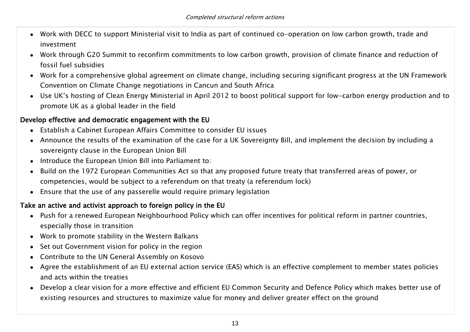- Work with DECC to support Ministerial visit to India as part of continued co-operation on low carbon growth, trade and investment
- Work through G20 Summit to reconfirm commitments to low carbon growth, provision of climate finance and reduction of fossil fuel subsidies
- Work for a comprehensive global agreement on climate change, including securing significant progress at the UN Framework Convention on Climate Change negotiations in Cancun and South Africa
- Use UK"s hosting of Clean Energy Ministerial in April 2012 to boost political support for low-carbon energy production and to promote UK as a global leader in the field

#### Develop effective and democratic engagement with the EU

- Establish a Cabinet European Affairs Committee to consider EU issues
- Announce the results of the examination of the case for a UK Sovereignty Bill, and implement the decision by including a sovereignty clause in the European Union Bill
- Introduce the European Union Bill into Parliament to:
- Build on the 1972 European Communities Act so that any proposed future treaty that transferred areas of power, or competencies, would be subject to a referendum on that treaty (a referendum lock)
- Ensure that the use of any passerelle would require primary legislation

# Take an active and activist approach to foreign policy in the EU

- Push for a renewed European Neighbourhood Policy which can offer incentives for political reform in partner countries, especially those in transition
- Work to promote stability in the Western Balkans
- Set out Government vision for policy in the region
- Contribute to the UN General Assembly on Kosovo
- Agree the establishment of an EU external action service (EAS) which is an effective complement to member states policies and acts within the treaties
- Develop a clear vision for a more effective and efficient EU Common Security and Defence Policy which makes better use of existing resources and structures to maximize value for money and deliver greater effect on the ground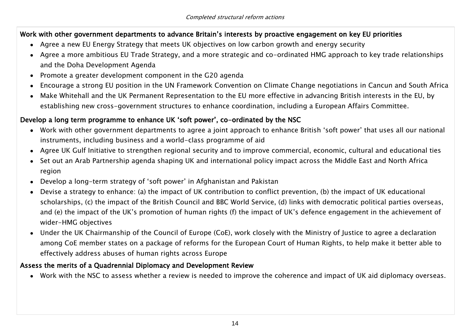#### Work with other government departments to advance Britain"s interests by proactive engagement on key EU priorities

- Agree a new EU Energy Strategy that meets UK objectives on low carbon growth and energy security
- Agree a more ambitious EU Trade Strategy, and a more strategic and co-ordinated HMG approach to key trade relationships and the Doha Development Agenda
- Promote a greater development component in the G20 agenda
- Encourage a strong EU position in the UN Framework Convention on Climate Change negotiations in Cancun and South Africa
- Make Whitehall and the UK Permanent Representation to the EU more effective in advancing British interests in the EU, by establishing new cross-government structures to enhance coordination, including a European Affairs Committee.

#### Develop a long term programme to enhance UK 'soft power', co-ordinated by the NSC

- Work with other government departments to agree a joint approach to enhance British "soft power" that uses all our national instruments, including business and a world-class programme of aid
- Agree UK Gulf Initiative to strengthen regional security and to improve commercial, economic, cultural and educational ties
- Set out an Arab Partnership agenda shaping UK and international policy impact across the Middle East and North Africa region
- Develop a long-term strategy of "soft power" in Afghanistan and Pakistan
- Devise a strategy to enhance: (a) the impact of UK contribution to conflict prevention, (b) the impact of UK educational scholarships, (c) the impact of the British Council and BBC World Service, (d) links with democratic political parties overseas, and (e) the impact of the UK"s promotion of human rights (f) the impact of UK"s defence engagement in the achievement of wider-HMG objectives
- Under the UK Chairmanship of the Council of Europe (CoE), work closely with the Ministry of Justice to agree a declaration among CoE member states on a package of reforms for the European Court of Human Rights, to help make it better able to effectively address abuses of human rights across Europe

#### Assess the merits of a Quadrennial Diplomacy and Development Review

Work with the NSC to assess whether a review is needed to improve the coherence and impact of UK aid diplomacy overseas.